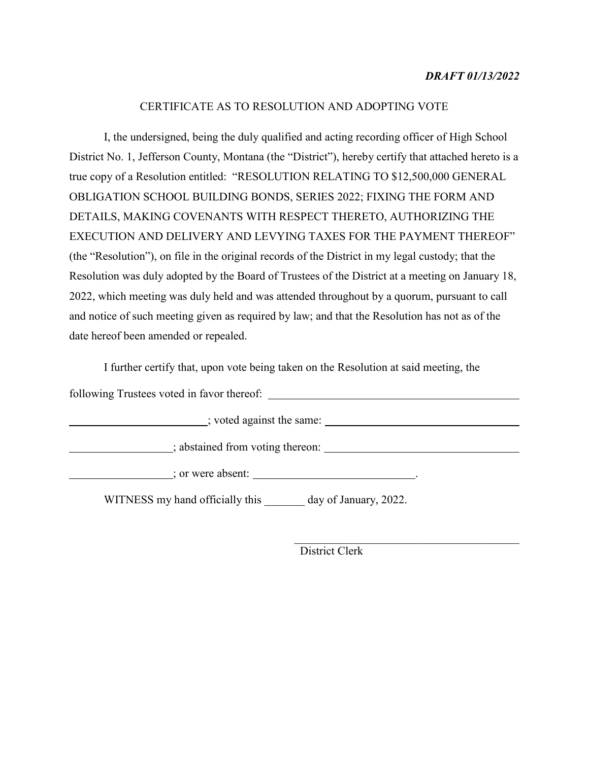# *DRAFT 01/13/2022*

### CERTIFICATE AS TO RESOLUTION AND ADOPTING VOTE

I, the undersigned, being the duly qualified and acting recording officer of High School District No. 1, Jefferson County, Montana (the "District"), hereby certify that attached hereto is a true copy of a Resolution entitled: "RESOLUTION RELATING TO \$12,500,000 GENERAL OBLIGATION SCHOOL BUILDING BONDS, SERIES 2022; FIXING THE FORM AND DETAILS, MAKING COVENANTS WITH RESPECT THERETO, AUTHORIZING THE EXECUTION AND DELIVERY AND LEVYING TAXES FOR THE PAYMENT THEREOF" (the "Resolution"), on file in the original records of the District in my legal custody; that the Resolution was duly adopted by the Board of Trustees of the District at a meeting on January 18, 2022, which meeting was duly held and was attended throughout by a quorum, pursuant to call and notice of such meeting given as required by law; and that the Resolution has not as of the date hereof been amended or repealed.

I further certify that, upon vote being taken on the Resolution at said meeting, the

following Trustees voted in favor thereof:

contract in the same:

contract the state of the state of the state of the state of the state of the state of the state of the state of the state of the state of the state of the state of the state of the state of the state of the state of the s

 $\blacksquare$ ; or were absent:  $\blacksquare$ 

WITNESS my hand officially this \_\_\_\_\_\_\_ day of January, 2022.

District Clerk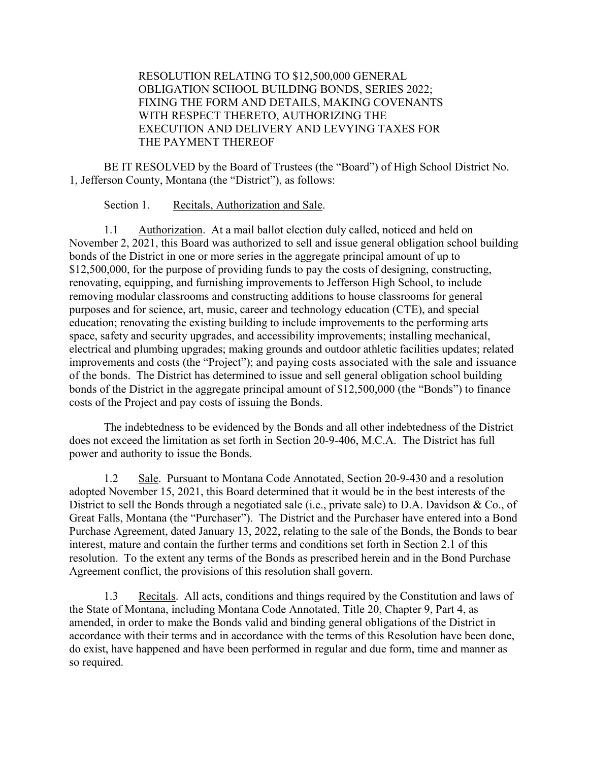# RESOLUTION RELATING TO \$12,500,000 GENERAL OBLIGATION SCHOOL BUILDING BONDS, SERIES 2022; FIXING THE FORM AND DETAILS, MAKING COVENANTS WITH RESPECT THERETO, AUTHORIZING THE EXECUTION AND DELIVERY AND LEVYING TAXES FOR THE PAYMENT THEREOF

BE IT RESOLVED by the Board of Trustees (the "Board") of High School District No. 1, Jefferson County, Montana (the "District"), as follows:

Section 1. Recitals, Authorization and Sale.

1.1 Authorization. At a mail ballot election duly called, noticed and held on November 2, 2021, this Board was authorized to sell and issue general obligation school building bonds of the District in one or more series in the aggregate principal amount of up to \$12,500,000, for the purpose of providing funds to pay the costs of designing, constructing, renovating, equipping, and furnishing improvements to Jefferson High School, to include removing modular classrooms and constructing additions to house classrooms for general purposes and for science, art, music, career and technology education (CTE), and special education; renovating the existing building to include improvements to the performing arts space, safety and security upgrades, and accessibility improvements; installing mechanical, electrical and plumbing upgrades; making grounds and outdoor athletic facilities updates; related improvements and costs (the "Project"); and paying costs associated with the sale and issuance of the bonds. The District has determined to issue and sell general obligation school building bonds of the District in the aggregate principal amount of \$12,500,000 (the "Bonds") to finance costs of the Project and pay costs of issuing the Bonds.

The indebtedness to be evidenced by the Bonds and all other indebtedness of the District does not exceed the limitation as set forth in Section 20-9-406, M.C.A. The District has full power and authority to issue the Bonds.

1.2 Sale. Pursuant to Montana Code Annotated, Section 20-9-430 and a resolution adopted November 15, 2021, this Board determined that it would be in the best interests of the District to sell the Bonds through a negotiated sale (i.e., private sale) to D.A. Davidson & Co., of Great Falls, Montana (the "Purchaser"). The District and the Purchaser have entered into a Bond Purchase Agreement, dated January 13, 2022, relating to the sale of the Bonds, the Bonds to bear interest, mature and contain the further terms and conditions set forth in Section 2.1 of this resolution. To the extent any terms of the Bonds as prescribed herein and in the Bond Purchase Agreement conflict, the provisions of this resolution shall govern.

1.3 Recitals. All acts, conditions and things required by the Constitution and laws of the State of Montana, including Montana Code Annotated, Title 20, Chapter 9, Part 4, as amended, in order to make the Bonds valid and binding general obligations of the District in accordance with their terms and in accordance with the terms of this Resolution have been done, do exist, have happened and have been performed in regular and due form, time and manner as so required.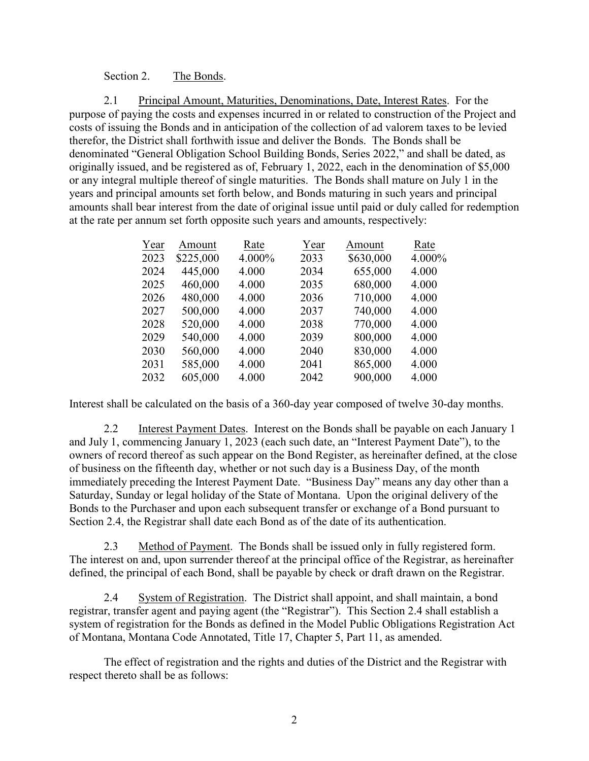### Section 2. The Bonds.

2.1 Principal Amount, Maturities, Denominations, Date, Interest Rates. For the purpose of paying the costs and expenses incurred in or related to construction of the Project and costs of issuing the Bonds and in anticipation of the collection of ad valorem taxes to be levied therefor, the District shall forthwith issue and deliver the Bonds. The Bonds shall be denominated "General Obligation School Building Bonds, Series 2022," and shall be dated, as originally issued, and be registered as of, February 1, 2022, each in the denomination of \$5,000 or any integral multiple thereof of single maturities. The Bonds shall mature on July 1 in the years and principal amounts set forth below, and Bonds maturing in such years and principal amounts shall bear interest from the date of original issue until paid or duly called for redemption at the rate per annum set forth opposite such years and amounts, respectively:

| Year | Amount    | Rate   | Year | Amount    | Rate   |
|------|-----------|--------|------|-----------|--------|
| 2023 | \$225,000 | 4.000% | 2033 | \$630,000 | 4.000% |
| 2024 | 445,000   | 4.000  | 2034 | 655,000   | 4.000  |
| 2025 | 460,000   | 4.000  | 2035 | 680,000   | 4.000  |
| 2026 | 480,000   | 4.000  | 2036 | 710,000   | 4.000  |
| 2027 | 500,000   | 4.000  | 2037 | 740,000   | 4.000  |
| 2028 | 520,000   | 4.000  | 2038 | 770,000   | 4.000  |
| 2029 | 540,000   | 4.000  | 2039 | 800,000   | 4.000  |
| 2030 | 560,000   | 4.000  | 2040 | 830,000   | 4.000  |
| 2031 | 585,000   | 4.000  | 2041 | 865,000   | 4.000  |
| 2032 | 605,000   | 4.000  | 2042 | 900,000   | 4.000  |
|      |           |        |      |           |        |

Interest shall be calculated on the basis of a 360-day year composed of twelve 30-day months.

2.2 Interest Payment Dates. Interest on the Bonds shall be payable on each January 1 and July 1, commencing January 1, 2023 (each such date, an "Interest Payment Date"), to the owners of record thereof as such appear on the Bond Register, as hereinafter defined, at the close of business on the fifteenth day, whether or not such day is a Business Day, of the month immediately preceding the Interest Payment Date. "Business Day" means any day other than a Saturday, Sunday or legal holiday of the State of Montana. Upon the original delivery of the Bonds to the Purchaser and upon each subsequent transfer or exchange of a Bond pursuant to Section 2.4, the Registrar shall date each Bond as of the date of its authentication.

2.3 Method of Payment. The Bonds shall be issued only in fully registered form. The interest on and, upon surrender thereof at the principal office of the Registrar, as hereinafter defined, the principal of each Bond, shall be payable by check or draft drawn on the Registrar.

2.4 System of Registration. The District shall appoint, and shall maintain, a bond registrar, transfer agent and paying agent (the "Registrar"). This Section 2.4 shall establish a system of registration for the Bonds as defined in the Model Public Obligations Registration Act of Montana, Montana Code Annotated, Title 17, Chapter 5, Part 11, as amended.

The effect of registration and the rights and duties of the District and the Registrar with respect thereto shall be as follows: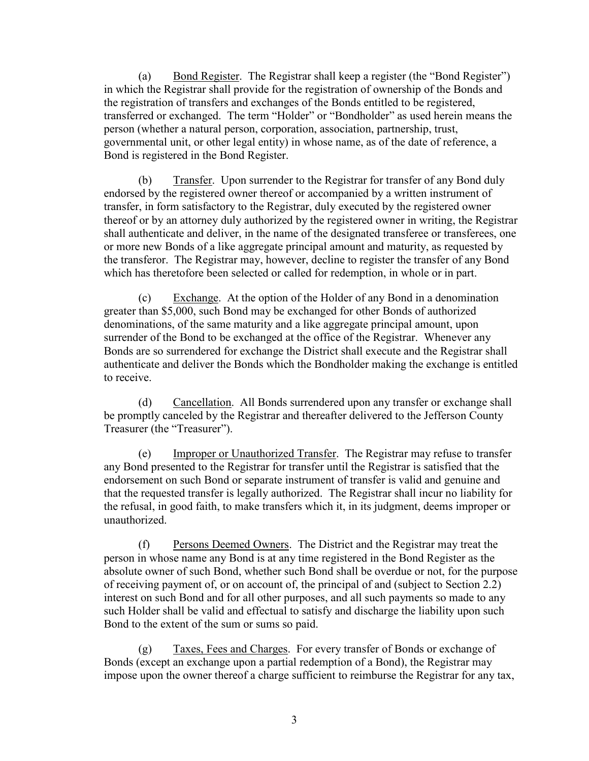(a) Bond Register. The Registrar shall keep a register (the "Bond Register") in which the Registrar shall provide for the registration of ownership of the Bonds and the registration of transfers and exchanges of the Bonds entitled to be registered, transferred or exchanged. The term "Holder" or "Bondholder" as used herein means the person (whether a natural person, corporation, association, partnership, trust, governmental unit, or other legal entity) in whose name, as of the date of reference, a Bond is registered in the Bond Register.

(b) Transfer. Upon surrender to the Registrar for transfer of any Bond duly endorsed by the registered owner thereof or accompanied by a written instrument of transfer, in form satisfactory to the Registrar, duly executed by the registered owner thereof or by an attorney duly authorized by the registered owner in writing, the Registrar shall authenticate and deliver, in the name of the designated transferee or transferees, one or more new Bonds of a like aggregate principal amount and maturity, as requested by the transferor. The Registrar may, however, decline to register the transfer of any Bond which has theretofore been selected or called for redemption, in whole or in part.

(c) Exchange. At the option of the Holder of any Bond in a denomination greater than \$5,000, such Bond may be exchanged for other Bonds of authorized denominations, of the same maturity and a like aggregate principal amount, upon surrender of the Bond to be exchanged at the office of the Registrar. Whenever any Bonds are so surrendered for exchange the District shall execute and the Registrar shall authenticate and deliver the Bonds which the Bondholder making the exchange is entitled to receive.

(d) Cancellation. All Bonds surrendered upon any transfer or exchange shall be promptly canceled by the Registrar and thereafter delivered to the Jefferson County Treasurer (the "Treasurer").

(e) Improper or Unauthorized Transfer. The Registrar may refuse to transfer any Bond presented to the Registrar for transfer until the Registrar is satisfied that the endorsement on such Bond or separate instrument of transfer is valid and genuine and that the requested transfer is legally authorized. The Registrar shall incur no liability for the refusal, in good faith, to make transfers which it, in its judgment, deems improper or unauthorized.

(f) Persons Deemed Owners. The District and the Registrar may treat the person in whose name any Bond is at any time registered in the Bond Register as the absolute owner of such Bond, whether such Bond shall be overdue or not, for the purpose of receiving payment of, or on account of, the principal of and (subject to Section 2.2) interest on such Bond and for all other purposes, and all such payments so made to any such Holder shall be valid and effectual to satisfy and discharge the liability upon such Bond to the extent of the sum or sums so paid.

(g) Taxes, Fees and Charges. For every transfer of Bonds or exchange of Bonds (except an exchange upon a partial redemption of a Bond), the Registrar may impose upon the owner thereof a charge sufficient to reimburse the Registrar for any tax,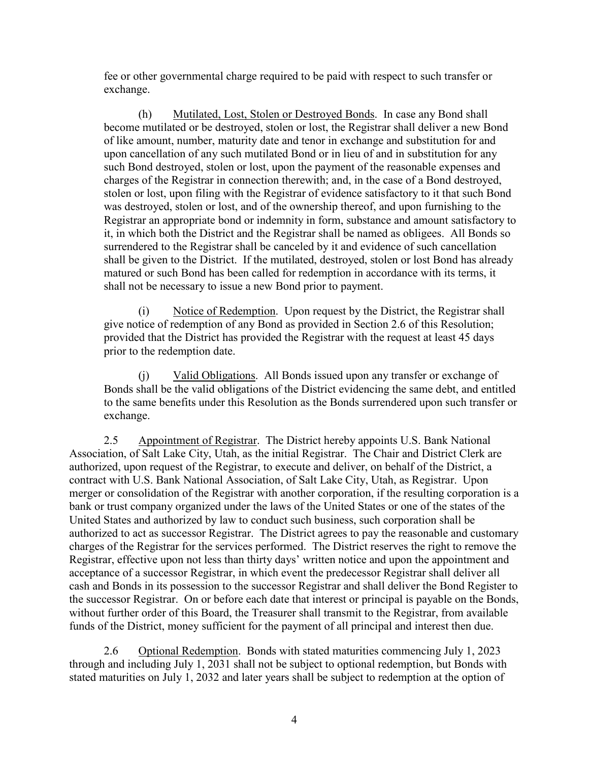fee or other governmental charge required to be paid with respect to such transfer or exchange.

(h) Mutilated, Lost, Stolen or Destroyed Bonds. In case any Bond shall become mutilated or be destroyed, stolen or lost, the Registrar shall deliver a new Bond of like amount, number, maturity date and tenor in exchange and substitution for and upon cancellation of any such mutilated Bond or in lieu of and in substitution for any such Bond destroyed, stolen or lost, upon the payment of the reasonable expenses and charges of the Registrar in connection therewith; and, in the case of a Bond destroyed, stolen or lost, upon filing with the Registrar of evidence satisfactory to it that such Bond was destroyed, stolen or lost, and of the ownership thereof, and upon furnishing to the Registrar an appropriate bond or indemnity in form, substance and amount satisfactory to it, in which both the District and the Registrar shall be named as obligees. All Bonds so surrendered to the Registrar shall be canceled by it and evidence of such cancellation shall be given to the District. If the mutilated, destroyed, stolen or lost Bond has already matured or such Bond has been called for redemption in accordance with its terms, it shall not be necessary to issue a new Bond prior to payment.

(i) Notice of Redemption. Upon request by the District, the Registrar shall give notice of redemption of any Bond as provided in Section 2.6 of this Resolution; provided that the District has provided the Registrar with the request at least 45 days prior to the redemption date.

(j) Valid Obligations. All Bonds issued upon any transfer or exchange of Bonds shall be the valid obligations of the District evidencing the same debt, and entitled to the same benefits under this Resolution as the Bonds surrendered upon such transfer or exchange.

2.5 Appointment of Registrar. The District hereby appoints U.S. Bank National Association, of Salt Lake City, Utah, as the initial Registrar. The Chair and District Clerk are authorized, upon request of the Registrar, to execute and deliver, on behalf of the District, a contract with U.S. Bank National Association, of Salt Lake City, Utah, as Registrar. Upon merger or consolidation of the Registrar with another corporation, if the resulting corporation is a bank or trust company organized under the laws of the United States or one of the states of the United States and authorized by law to conduct such business, such corporation shall be authorized to act as successor Registrar. The District agrees to pay the reasonable and customary charges of the Registrar for the services performed. The District reserves the right to remove the Registrar, effective upon not less than thirty days' written notice and upon the appointment and acceptance of a successor Registrar, in which event the predecessor Registrar shall deliver all cash and Bonds in its possession to the successor Registrar and shall deliver the Bond Register to the successor Registrar. On or before each date that interest or principal is payable on the Bonds, without further order of this Board, the Treasurer shall transmit to the Registrar, from available funds of the District, money sufficient for the payment of all principal and interest then due.

2.6 Optional Redemption. Bonds with stated maturities commencing July 1, 2023 through and including July 1, 2031 shall not be subject to optional redemption, but Bonds with stated maturities on July 1, 2032 and later years shall be subject to redemption at the option of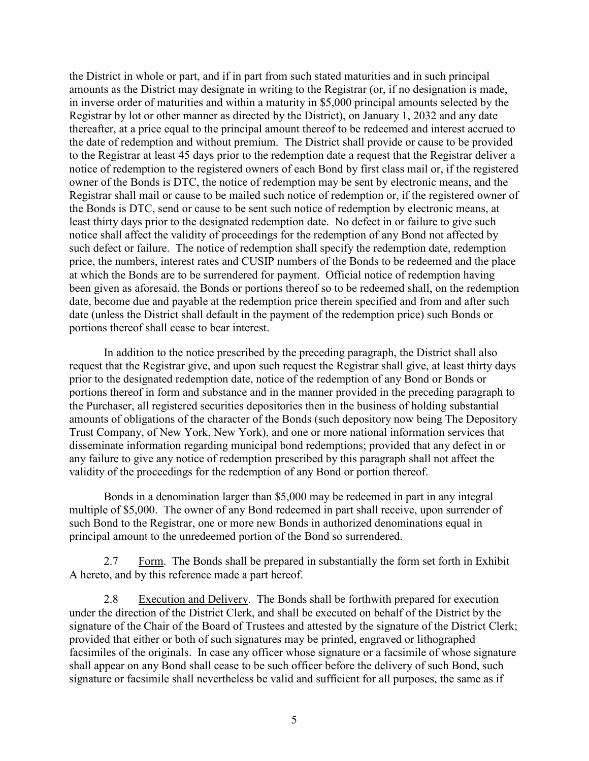the District in whole or part, and if in part from such stated maturities and in such principal amounts as the District may designate in writing to the Registrar (or, if no designation is made, in inverse order of maturities and within a maturity in \$5,000 principal amounts selected by the Registrar by lot or other manner as directed by the District), on January 1, 2032 and any date thereafter, at a price equal to the principal amount thereof to be redeemed and interest accrued to the date of redemption and without premium. The District shall provide or cause to be provided to the Registrar at least 45 days prior to the redemption date a request that the Registrar deliver a notice of redemption to the registered owners of each Bond by first class mail or, if the registered owner of the Bonds is DTC, the notice of redemption may be sent by electronic means, and the Registrar shall mail or cause to be mailed such notice of redemption or, if the registered owner of the Bonds is DTC, send or cause to be sent such notice of redemption by electronic means, at least thirty days prior to the designated redemption date. No defect in or failure to give such notice shall affect the validity of proceedings for the redemption of any Bond not affected by such defect or failure. The notice of redemption shall specify the redemption date, redemption price, the numbers, interest rates and CUSIP numbers of the Bonds to be redeemed and the place at which the Bonds are to be surrendered for payment. Official notice of redemption having been given as aforesaid, the Bonds or portions thereof so to be redeemed shall, on the redemption date, become due and payable at the redemption price therein specified and from and after such date (unless the District shall default in the payment of the redemption price) such Bonds or portions thereof shall cease to bear interest.

In addition to the notice prescribed by the preceding paragraph, the District shall also request that the Registrar give, and upon such request the Registrar shall give, at least thirty days prior to the designated redemption date, notice of the redemption of any Bond or Bonds or portions thereof in form and substance and in the manner provided in the preceding paragraph to the Purchaser, all registered securities depositories then in the business of holding substantial amounts of obligations of the character of the Bonds (such depository now being The Depository Trust Company, of New York, New York), and one or more national information services that disseminate information regarding municipal bond redemptions; provided that any defect in or any failure to give any notice of redemption prescribed by this paragraph shall not affect the validity of the proceedings for the redemption of any Bond or portion thereof.

Bonds in a denomination larger than \$5,000 may be redeemed in part in any integral multiple of \$5,000. The owner of any Bond redeemed in part shall receive, upon surrender of such Bond to the Registrar, one or more new Bonds in authorized denominations equal in principal amount to the unredeemed portion of the Bond so surrendered.

2.7 Form. The Bonds shall be prepared in substantially the form set forth in Exhibit A hereto, and by this reference made a part hereof.

2.8 Execution and Delivery. The Bonds shall be forthwith prepared for execution under the direction of the District Clerk, and shall be executed on behalf of the District by the signature of the Chair of the Board of Trustees and attested by the signature of the District Clerk; provided that either or both of such signatures may be printed, engraved or lithographed facsimiles of the originals. In case any officer whose signature or a facsimile of whose signature shall appear on any Bond shall cease to be such officer before the delivery of such Bond, such signature or facsimile shall nevertheless be valid and sufficient for all purposes, the same as if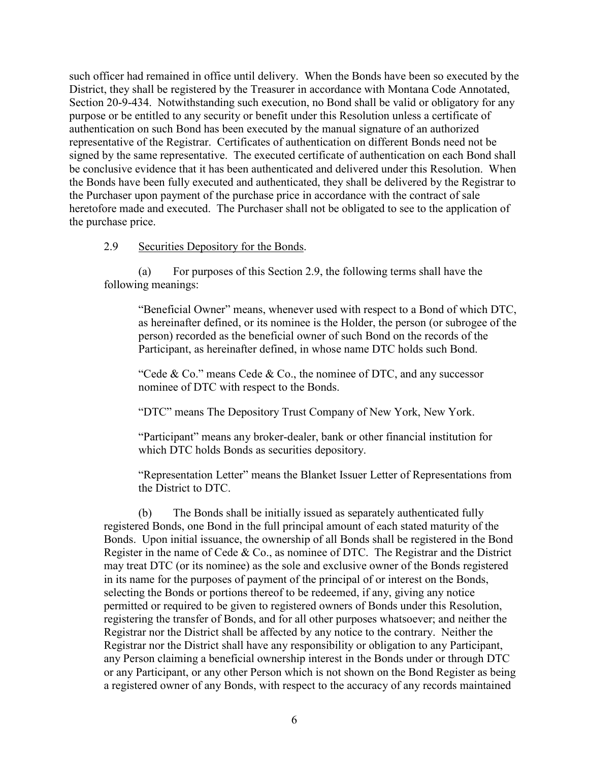such officer had remained in office until delivery. When the Bonds have been so executed by the District, they shall be registered by the Treasurer in accordance with Montana Code Annotated, Section 20-9-434. Notwithstanding such execution, no Bond shall be valid or obligatory for any purpose or be entitled to any security or benefit under this Resolution unless a certificate of authentication on such Bond has been executed by the manual signature of an authorized representative of the Registrar. Certificates of authentication on different Bonds need not be signed by the same representative. The executed certificate of authentication on each Bond shall be conclusive evidence that it has been authenticated and delivered under this Resolution. When the Bonds have been fully executed and authenticated, they shall be delivered by the Registrar to the Purchaser upon payment of the purchase price in accordance with the contract of sale heretofore made and executed. The Purchaser shall not be obligated to see to the application of the purchase price.

### 2.9 Securities Depository for the Bonds.

(a) For purposes of this Section 2.9, the following terms shall have the following meanings:

"Beneficial Owner" means, whenever used with respect to a Bond of which DTC, as hereinafter defined, or its nominee is the Holder, the person (or subrogee of the person) recorded as the beneficial owner of such Bond on the records of the Participant, as hereinafter defined, in whose name DTC holds such Bond.

"Cede & Co." means Cede & Co., the nominee of DTC, and any successor nominee of DTC with respect to the Bonds.

"DTC" means The Depository Trust Company of New York, New York.

"Participant" means any broker-dealer, bank or other financial institution for which DTC holds Bonds as securities depository.

"Representation Letter" means the Blanket Issuer Letter of Representations from the District to DTC.

(b) The Bonds shall be initially issued as separately authenticated fully registered Bonds, one Bond in the full principal amount of each stated maturity of the Bonds. Upon initial issuance, the ownership of all Bonds shall be registered in the Bond Register in the name of Cede & Co., as nominee of DTC. The Registrar and the District may treat DTC (or its nominee) as the sole and exclusive owner of the Bonds registered in its name for the purposes of payment of the principal of or interest on the Bonds, selecting the Bonds or portions thereof to be redeemed, if any, giving any notice permitted or required to be given to registered owners of Bonds under this Resolution, registering the transfer of Bonds, and for all other purposes whatsoever; and neither the Registrar nor the District shall be affected by any notice to the contrary. Neither the Registrar nor the District shall have any responsibility or obligation to any Participant, any Person claiming a beneficial ownership interest in the Bonds under or through DTC or any Participant, or any other Person which is not shown on the Bond Register as being a registered owner of any Bonds, with respect to the accuracy of any records maintained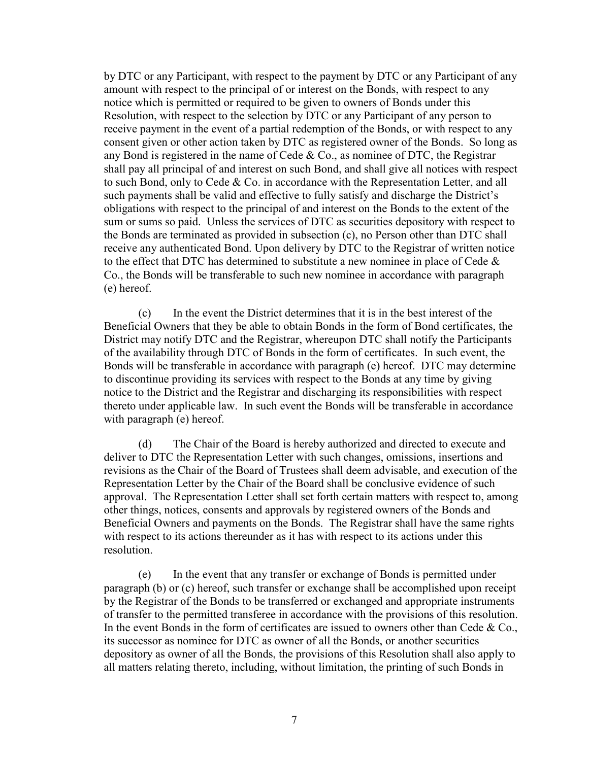by DTC or any Participant, with respect to the payment by DTC or any Participant of any amount with respect to the principal of or interest on the Bonds, with respect to any notice which is permitted or required to be given to owners of Bonds under this Resolution, with respect to the selection by DTC or any Participant of any person to receive payment in the event of a partial redemption of the Bonds, or with respect to any consent given or other action taken by DTC as registered owner of the Bonds. So long as any Bond is registered in the name of Cede  $& Co.,$  as nominee of DTC, the Registrar shall pay all principal of and interest on such Bond, and shall give all notices with respect to such Bond, only to Cede & Co. in accordance with the Representation Letter, and all such payments shall be valid and effective to fully satisfy and discharge the District's obligations with respect to the principal of and interest on the Bonds to the extent of the sum or sums so paid. Unless the services of DTC as securities depository with respect to the Bonds are terminated as provided in subsection (c), no Person other than DTC shall receive any authenticated Bond. Upon delivery by DTC to the Registrar of written notice to the effect that DTC has determined to substitute a new nominee in place of Cede & Co., the Bonds will be transferable to such new nominee in accordance with paragraph (e) hereof.

(c) In the event the District determines that it is in the best interest of the Beneficial Owners that they be able to obtain Bonds in the form of Bond certificates, the District may notify DTC and the Registrar, whereupon DTC shall notify the Participants of the availability through DTC of Bonds in the form of certificates. In such event, the Bonds will be transferable in accordance with paragraph (e) hereof. DTC may determine to discontinue providing its services with respect to the Bonds at any time by giving notice to the District and the Registrar and discharging its responsibilities with respect thereto under applicable law. In such event the Bonds will be transferable in accordance with paragraph (e) hereof.

(d) The Chair of the Board is hereby authorized and directed to execute and deliver to DTC the Representation Letter with such changes, omissions, insertions and revisions as the Chair of the Board of Trustees shall deem advisable, and execution of the Representation Letter by the Chair of the Board shall be conclusive evidence of such approval. The Representation Letter shall set forth certain matters with respect to, among other things, notices, consents and approvals by registered owners of the Bonds and Beneficial Owners and payments on the Bonds. The Registrar shall have the same rights with respect to its actions thereunder as it has with respect to its actions under this resolution.

(e) In the event that any transfer or exchange of Bonds is permitted under paragraph (b) or (c) hereof, such transfer or exchange shall be accomplished upon receipt by the Registrar of the Bonds to be transferred or exchanged and appropriate instruments of transfer to the permitted transferee in accordance with the provisions of this resolution. In the event Bonds in the form of certificates are issued to owners other than Cede  $& Co.,$ its successor as nominee for DTC as owner of all the Bonds, or another securities depository as owner of all the Bonds, the provisions of this Resolution shall also apply to all matters relating thereto, including, without limitation, the printing of such Bonds in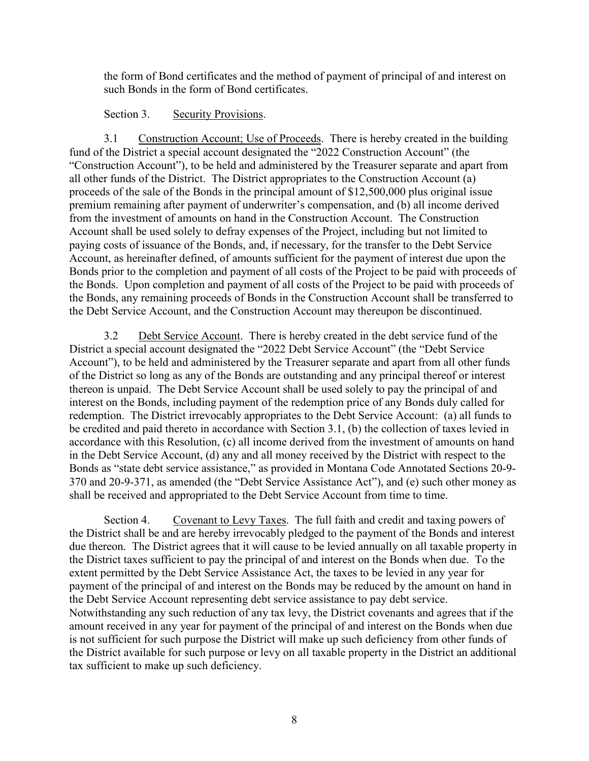the form of Bond certificates and the method of payment of principal of and interest on such Bonds in the form of Bond certificates.

Section 3. Security Provisions.

3.1 Construction Account; Use of Proceeds. There is hereby created in the building fund of the District a special account designated the "2022 Construction Account" (the "Construction Account"), to be held and administered by the Treasurer separate and apart from all other funds of the District. The District appropriates to the Construction Account (a) proceeds of the sale of the Bonds in the principal amount of \$12,500,000 plus original issue premium remaining after payment of underwriter's compensation, and (b) all income derived from the investment of amounts on hand in the Construction Account. The Construction Account shall be used solely to defray expenses of the Project, including but not limited to paying costs of issuance of the Bonds, and, if necessary, for the transfer to the Debt Service Account, as hereinafter defined, of amounts sufficient for the payment of interest due upon the Bonds prior to the completion and payment of all costs of the Project to be paid with proceeds of the Bonds. Upon completion and payment of all costs of the Project to be paid with proceeds of the Bonds, any remaining proceeds of Bonds in the Construction Account shall be transferred to the Debt Service Account, and the Construction Account may thereupon be discontinued.

3.2 Debt Service Account. There is hereby created in the debt service fund of the District a special account designated the "2022 Debt Service Account" (the "Debt Service Account"), to be held and administered by the Treasurer separate and apart from all other funds of the District so long as any of the Bonds are outstanding and any principal thereof or interest thereon is unpaid. The Debt Service Account shall be used solely to pay the principal of and interest on the Bonds, including payment of the redemption price of any Bonds duly called for redemption. The District irrevocably appropriates to the Debt Service Account: (a) all funds to be credited and paid thereto in accordance with Section 3.1, (b) the collection of taxes levied in accordance with this Resolution, (c) all income derived from the investment of amounts on hand in the Debt Service Account, (d) any and all money received by the District with respect to the Bonds as "state debt service assistance," as provided in Montana Code Annotated Sections 20-9- 370 and 20-9-371, as amended (the "Debt Service Assistance Act"), and (e) such other money as shall be received and appropriated to the Debt Service Account from time to time.

Section 4. Covenant to Levy Taxes. The full faith and credit and taxing powers of the District shall be and are hereby irrevocably pledged to the payment of the Bonds and interest due thereon. The District agrees that it will cause to be levied annually on all taxable property in the District taxes sufficient to pay the principal of and interest on the Bonds when due. To the extent permitted by the Debt Service Assistance Act, the taxes to be levied in any year for payment of the principal of and interest on the Bonds may be reduced by the amount on hand in the Debt Service Account representing debt service assistance to pay debt service. Notwithstanding any such reduction of any tax levy, the District covenants and agrees that if the amount received in any year for payment of the principal of and interest on the Bonds when due is not sufficient for such purpose the District will make up such deficiency from other funds of the District available for such purpose or levy on all taxable property in the District an additional tax sufficient to make up such deficiency.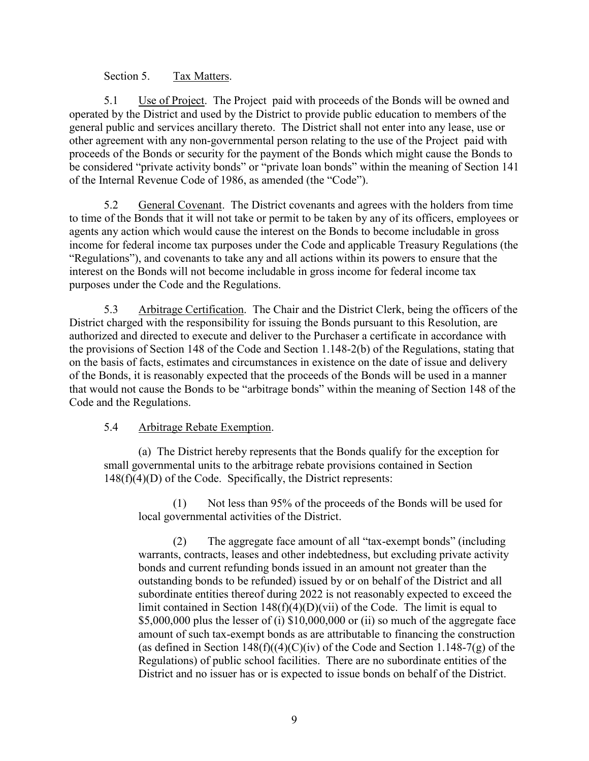# Section 5. Tax Matters.

5.1 Use of Project. The Project paid with proceeds of the Bonds will be owned and operated by the District and used by the District to provide public education to members of the general public and services ancillary thereto. The District shall not enter into any lease, use or other agreement with any non-governmental person relating to the use of the Project paid with proceeds of the Bonds or security for the payment of the Bonds which might cause the Bonds to be considered "private activity bonds" or "private loan bonds" within the meaning of Section 141 of the Internal Revenue Code of 1986, as amended (the "Code").

5.2 General Covenant. The District covenants and agrees with the holders from time to time of the Bonds that it will not take or permit to be taken by any of its officers, employees or agents any action which would cause the interest on the Bonds to become includable in gross income for federal income tax purposes under the Code and applicable Treasury Regulations (the "Regulations"), and covenants to take any and all actions within its powers to ensure that the interest on the Bonds will not become includable in gross income for federal income tax purposes under the Code and the Regulations.

5.3 Arbitrage Certification. The Chair and the District Clerk, being the officers of the District charged with the responsibility for issuing the Bonds pursuant to this Resolution, are authorized and directed to execute and deliver to the Purchaser a certificate in accordance with the provisions of Section 148 of the Code and Section 1.148-2(b) of the Regulations, stating that on the basis of facts, estimates and circumstances in existence on the date of issue and delivery of the Bonds, it is reasonably expected that the proceeds of the Bonds will be used in a manner that would not cause the Bonds to be "arbitrage bonds" within the meaning of Section 148 of the Code and the Regulations.

# 5.4 Arbitrage Rebate Exemption.

(a) The District hereby represents that the Bonds qualify for the exception for small governmental units to the arbitrage rebate provisions contained in Section  $148(f)(4)(D)$  of the Code. Specifically, the District represents:

(1) Not less than 95% of the proceeds of the Bonds will be used for local governmental activities of the District.

(2) The aggregate face amount of all "tax-exempt bonds" (including warrants, contracts, leases and other indebtedness, but excluding private activity bonds and current refunding bonds issued in an amount not greater than the outstanding bonds to be refunded) issued by or on behalf of the District and all subordinate entities thereof during 2022 is not reasonably expected to exceed the limit contained in Section 148(f)(4)(D)(vii) of the Code. The limit is equal to \$5,000,000 plus the lesser of (i) \$10,000,000 or (ii) so much of the aggregate face amount of such tax-exempt bonds as are attributable to financing the construction (as defined in Section  $148(f)((4)(C)(iv)$  of the Code and Section 1.148-7(g) of the Regulations) of public school facilities. There are no subordinate entities of the District and no issuer has or is expected to issue bonds on behalf of the District.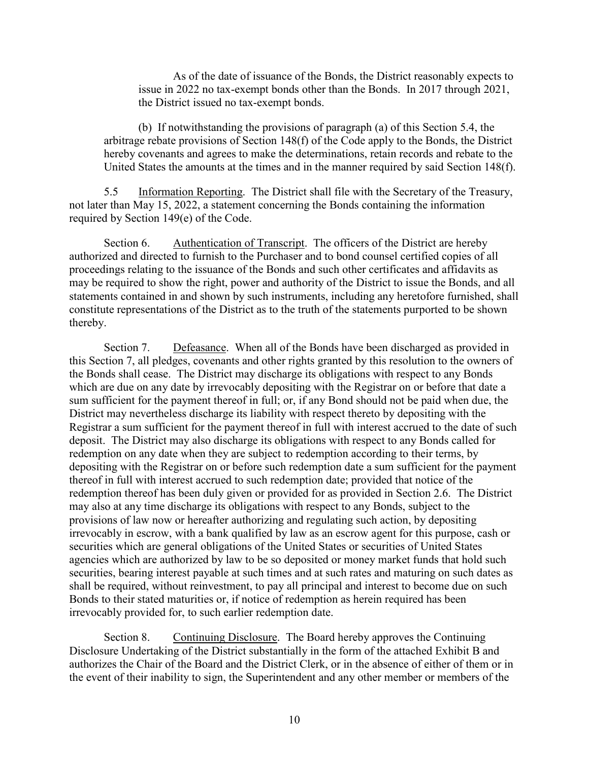As of the date of issuance of the Bonds, the District reasonably expects to issue in 2022 no tax-exempt bonds other than the Bonds. In 2017 through 2021, the District issued no tax-exempt bonds.

(b) If notwithstanding the provisions of paragraph (a) of this Section 5.4, the arbitrage rebate provisions of Section 148(f) of the Code apply to the Bonds, the District hereby covenants and agrees to make the determinations, retain records and rebate to the United States the amounts at the times and in the manner required by said Section 148(f).

5.5 Information Reporting. The District shall file with the Secretary of the Treasury, not later than May 15, 2022, a statement concerning the Bonds containing the information required by Section 149(e) of the Code.

Section 6. Authentication of Transcript. The officers of the District are hereby authorized and directed to furnish to the Purchaser and to bond counsel certified copies of all proceedings relating to the issuance of the Bonds and such other certificates and affidavits as may be required to show the right, power and authority of the District to issue the Bonds, and all statements contained in and shown by such instruments, including any heretofore furnished, shall constitute representations of the District as to the truth of the statements purported to be shown thereby.

Section 7. Defeasance. When all of the Bonds have been discharged as provided in this Section 7, all pledges, covenants and other rights granted by this resolution to the owners of the Bonds shall cease. The District may discharge its obligations with respect to any Bonds which are due on any date by irrevocably depositing with the Registrar on or before that date a sum sufficient for the payment thereof in full; or, if any Bond should not be paid when due, the District may nevertheless discharge its liability with respect thereto by depositing with the Registrar a sum sufficient for the payment thereof in full with interest accrued to the date of such deposit. The District may also discharge its obligations with respect to any Bonds called for redemption on any date when they are subject to redemption according to their terms, by depositing with the Registrar on or before such redemption date a sum sufficient for the payment thereof in full with interest accrued to such redemption date; provided that notice of the redemption thereof has been duly given or provided for as provided in Section 2.6. The District may also at any time discharge its obligations with respect to any Bonds, subject to the provisions of law now or hereafter authorizing and regulating such action, by depositing irrevocably in escrow, with a bank qualified by law as an escrow agent for this purpose, cash or securities which are general obligations of the United States or securities of United States agencies which are authorized by law to be so deposited or money market funds that hold such securities, bearing interest payable at such times and at such rates and maturing on such dates as shall be required, without reinvestment, to pay all principal and interest to become due on such Bonds to their stated maturities or, if notice of redemption as herein required has been irrevocably provided for, to such earlier redemption date.

Section 8. Continuing Disclosure. The Board hereby approves the Continuing Disclosure Undertaking of the District substantially in the form of the attached Exhibit B and authorizes the Chair of the Board and the District Clerk, or in the absence of either of them or in the event of their inability to sign, the Superintendent and any other member or members of the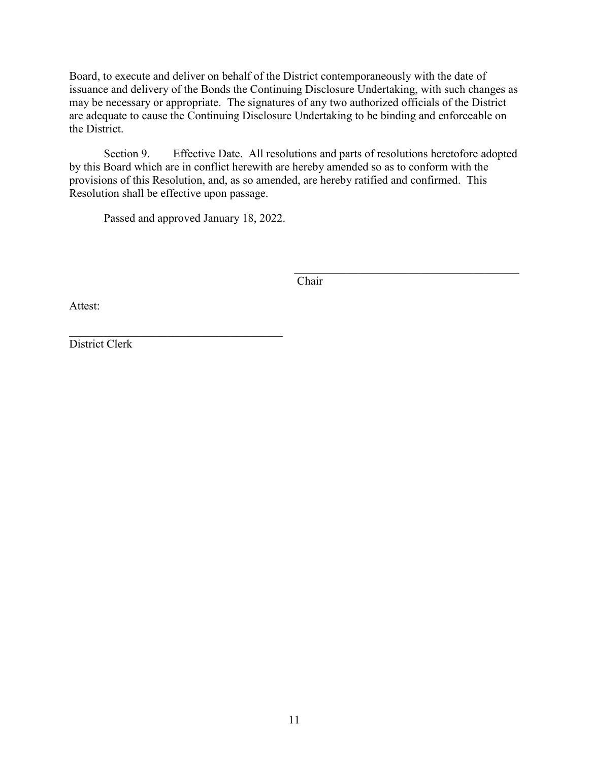Board, to execute and deliver on behalf of the District contemporaneously with the date of issuance and delivery of the Bonds the Continuing Disclosure Undertaking, with such changes as may be necessary or appropriate. The signatures of any two authorized officials of the District are adequate to cause the Continuing Disclosure Undertaking to be binding and enforceable on the District.

Section 9. Effective Date. All resolutions and parts of resolutions heretofore adopted by this Board which are in conflict herewith are hereby amended so as to conform with the provisions of this Resolution, and, as so amended, are hereby ratified and confirmed. This Resolution shall be effective upon passage.

Passed and approved January 18, 2022.

\_\_\_\_\_\_\_\_\_\_\_\_\_\_\_\_\_\_\_\_\_\_\_\_\_\_\_\_\_\_\_\_\_\_\_\_\_\_\_ Chair

Attest:

\_\_\_\_\_\_\_\_\_\_\_\_\_\_\_\_\_\_\_\_\_\_\_\_\_\_\_\_\_\_\_\_\_\_\_\_\_ District Clerk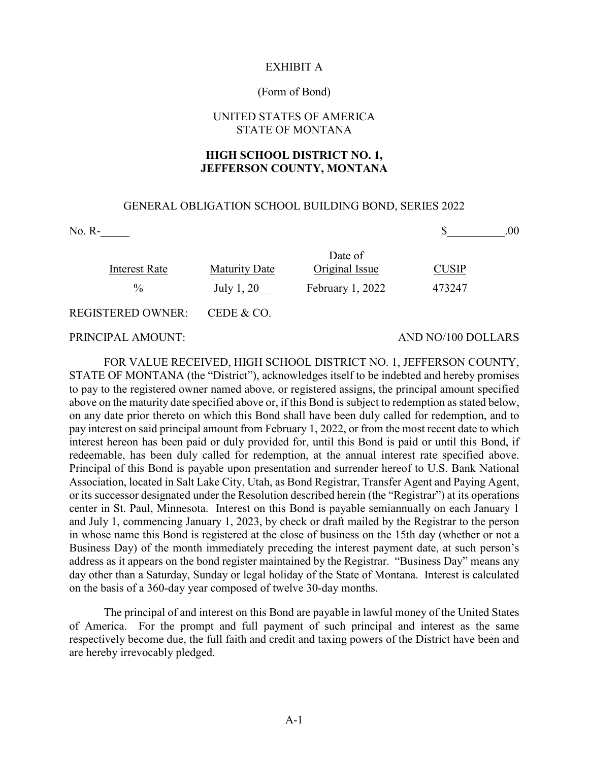#### EXHIBIT A

#### (Form of Bond)

## UNITED STATES OF AMERICA STATE OF MONTANA

## **HIGH SCHOOL DISTRICT NO. 1, JEFFERSON COUNTY, MONTANA**

#### GENERAL OBLIGATION SCHOOL BUILDING BOND, SERIES 2022

| $No. R-$                 |                      |                           | .00                |
|--------------------------|----------------------|---------------------------|--------------------|
| <b>Interest Rate</b>     | <b>Maturity Date</b> | Date of<br>Original Issue | <b>CUSIP</b>       |
| $\frac{0}{0}$            | July 1, 20           | February 1, 2022          | 473247             |
| <b>REGISTERED OWNER:</b> | CEDE & CO.           |                           |                    |
| PRINCIPAL AMOUNT:        |                      |                           | AND NO/100 DOLLARS |

FOR VALUE RECEIVED, HIGH SCHOOL DISTRICT NO. 1, JEFFERSON COUNTY, STATE OF MONTANA (the "District"), acknowledges itself to be indebted and hereby promises to pay to the registered owner named above, or registered assigns, the principal amount specified above on the maturity date specified above or, if this Bond is subject to redemption as stated below, on any date prior thereto on which this Bond shall have been duly called for redemption, and to pay interest on said principal amount from February 1, 2022, or from the most recent date to which interest hereon has been paid or duly provided for, until this Bond is paid or until this Bond, if redeemable, has been duly called for redemption, at the annual interest rate specified above. Principal of this Bond is payable upon presentation and surrender hereof to U.S. Bank National Association, located in Salt Lake City, Utah, as Bond Registrar, Transfer Agent and Paying Agent, or its successor designated under the Resolution described herein (the "Registrar") at its operations center in St. Paul, Minnesota. Interest on this Bond is payable semiannually on each January 1 and July 1, commencing January 1, 2023, by check or draft mailed by the Registrar to the person in whose name this Bond is registered at the close of business on the 15th day (whether or not a Business Day) of the month immediately preceding the interest payment date, at such person's address as it appears on the bond register maintained by the Registrar. "Business Day" means any day other than a Saturday, Sunday or legal holiday of the State of Montana. Interest is calculated on the basis of a 360-day year composed of twelve 30-day months.

The principal of and interest on this Bond are payable in lawful money of the United States of America. For the prompt and full payment of such principal and interest as the same respectively become due, the full faith and credit and taxing powers of the District have been and are hereby irrevocably pledged.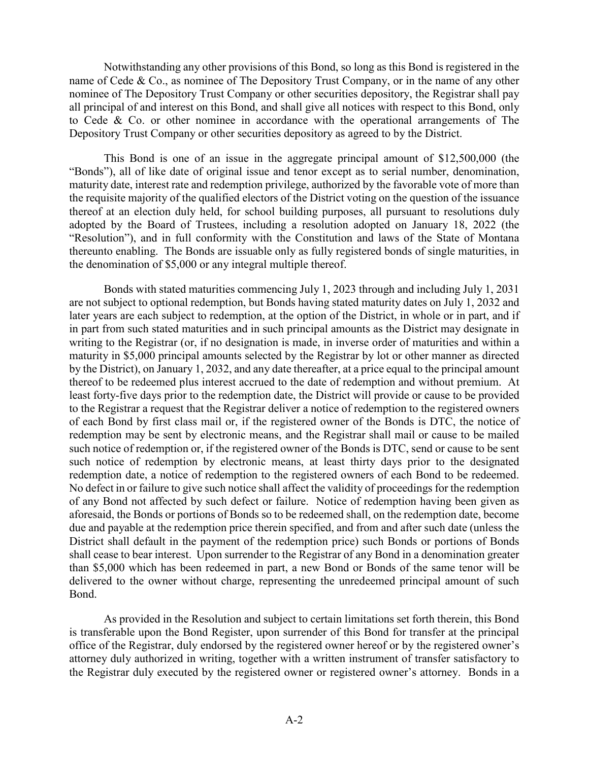Notwithstanding any other provisions of this Bond, so long as this Bond is registered in the name of Cede & Co., as nominee of The Depository Trust Company, or in the name of any other nominee of The Depository Trust Company or other securities depository, the Registrar shall pay all principal of and interest on this Bond, and shall give all notices with respect to this Bond, only to Cede & Co. or other nominee in accordance with the operational arrangements of The Depository Trust Company or other securities depository as agreed to by the District.

This Bond is one of an issue in the aggregate principal amount of \$12,500,000 (the "Bonds"), all of like date of original issue and tenor except as to serial number, denomination, maturity date, interest rate and redemption privilege, authorized by the favorable vote of more than the requisite majority of the qualified electors of the District voting on the question of the issuance thereof at an election duly held, for school building purposes, all pursuant to resolutions duly adopted by the Board of Trustees, including a resolution adopted on January 18, 2022 (the "Resolution"), and in full conformity with the Constitution and laws of the State of Montana thereunto enabling. The Bonds are issuable only as fully registered bonds of single maturities, in the denomination of \$5,000 or any integral multiple thereof.

Bonds with stated maturities commencing July 1, 2023 through and including July 1, 2031 are not subject to optional redemption, but Bonds having stated maturity dates on July 1, 2032 and later years are each subject to redemption, at the option of the District, in whole or in part, and if in part from such stated maturities and in such principal amounts as the District may designate in writing to the Registrar (or, if no designation is made, in inverse order of maturities and within a maturity in \$5,000 principal amounts selected by the Registrar by lot or other manner as directed by the District), on January 1, 2032, and any date thereafter, at a price equal to the principal amount thereof to be redeemed plus interest accrued to the date of redemption and without premium. At least forty-five days prior to the redemption date, the District will provide or cause to be provided to the Registrar a request that the Registrar deliver a notice of redemption to the registered owners of each Bond by first class mail or, if the registered owner of the Bonds is DTC, the notice of redemption may be sent by electronic means, and the Registrar shall mail or cause to be mailed such notice of redemption or, if the registered owner of the Bonds is DTC, send or cause to be sent such notice of redemption by electronic means, at least thirty days prior to the designated redemption date, a notice of redemption to the registered owners of each Bond to be redeemed. No defect in or failure to give such notice shall affect the validity of proceedings for the redemption of any Bond not affected by such defect or failure. Notice of redemption having been given as aforesaid, the Bonds or portions of Bonds so to be redeemed shall, on the redemption date, become due and payable at the redemption price therein specified, and from and after such date (unless the District shall default in the payment of the redemption price) such Bonds or portions of Bonds shall cease to bear interest. Upon surrender to the Registrar of any Bond in a denomination greater than \$5,000 which has been redeemed in part, a new Bond or Bonds of the same tenor will be delivered to the owner without charge, representing the unredeemed principal amount of such Bond.

As provided in the Resolution and subject to certain limitations set forth therein, this Bond is transferable upon the Bond Register, upon surrender of this Bond for transfer at the principal office of the Registrar, duly endorsed by the registered owner hereof or by the registered owner's attorney duly authorized in writing, together with a written instrument of transfer satisfactory to the Registrar duly executed by the registered owner or registered owner's attorney. Bonds in a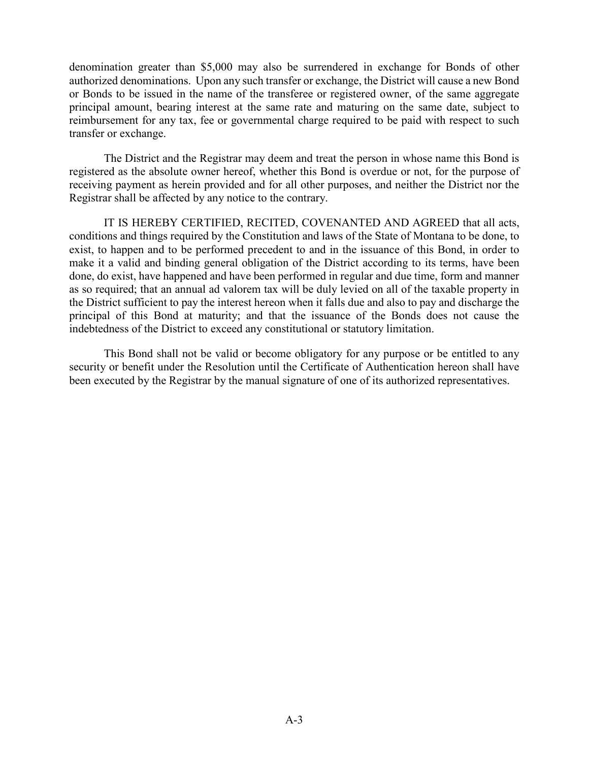denomination greater than \$5,000 may also be surrendered in exchange for Bonds of other authorized denominations. Upon any such transfer or exchange, the District will cause a new Bond or Bonds to be issued in the name of the transferee or registered owner, of the same aggregate principal amount, bearing interest at the same rate and maturing on the same date, subject to reimbursement for any tax, fee or governmental charge required to be paid with respect to such transfer or exchange.

The District and the Registrar may deem and treat the person in whose name this Bond is registered as the absolute owner hereof, whether this Bond is overdue or not, for the purpose of receiving payment as herein provided and for all other purposes, and neither the District nor the Registrar shall be affected by any notice to the contrary.

IT IS HEREBY CERTIFIED, RECITED, COVENANTED AND AGREED that all acts, conditions and things required by the Constitution and laws of the State of Montana to be done, to exist, to happen and to be performed precedent to and in the issuance of this Bond, in order to make it a valid and binding general obligation of the District according to its terms, have been done, do exist, have happened and have been performed in regular and due time, form and manner as so required; that an annual ad valorem tax will be duly levied on all of the taxable property in the District sufficient to pay the interest hereon when it falls due and also to pay and discharge the principal of this Bond at maturity; and that the issuance of the Bonds does not cause the indebtedness of the District to exceed any constitutional or statutory limitation.

This Bond shall not be valid or become obligatory for any purpose or be entitled to any security or benefit under the Resolution until the Certificate of Authentication hereon shall have been executed by the Registrar by the manual signature of one of its authorized representatives.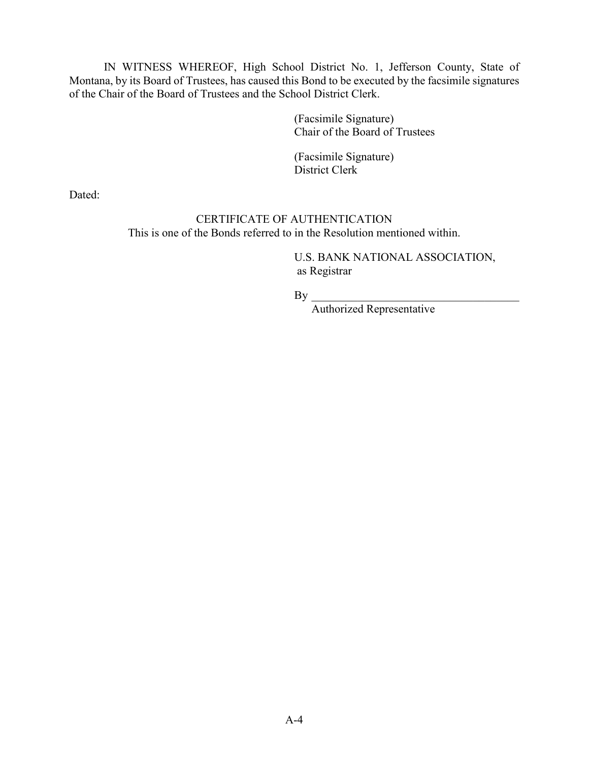IN WITNESS WHEREOF, High School District No. 1, Jefferson County, State of Montana, by its Board of Trustees, has caused this Bond to be executed by the facsimile signatures of the Chair of the Board of Trustees and the School District Clerk.

> (Facsimile Signature) Chair of the Board of Trustees

(Facsimile Signature) District Clerk

Dated:

# CERTIFICATE OF AUTHENTICATION This is one of the Bonds referred to in the Resolution mentioned within.

U.S. BANK NATIONAL ASSOCIATION, as Registrar

 $By \_$ 

Authorized Representative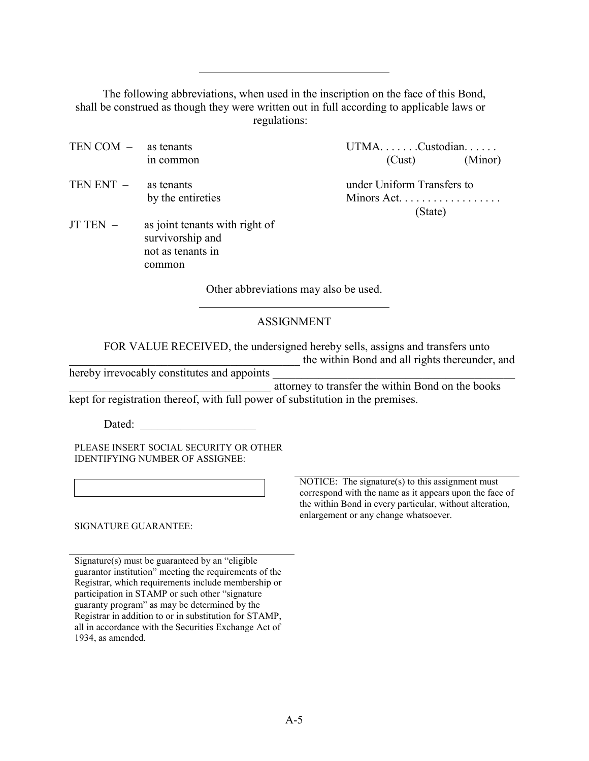The following abbreviations, when used in the inscription on the face of this Bond, shall be construed as though they were written out in full according to applicable laws or regulations:

- TEN COM as tenants UTMA. . . . . . . Custodian. . . . . . in common  $(Cust)$  (Cust) (Minor) TEN ENT – as tenants under Uniform Transfers to by the entireties Minors Act. . . . . . . . . . . . . . . . . .
- JT TEN as joint tenants with right of survivorship and not as tenants in common

 $\overline{a}$ 

 $\overline{a}$ 

(State)

Other abbreviations may also be used.

# ASSIGNMENT

FOR VALUE RECEIVED, the undersigned hereby sells, assigns and transfers unto \_\_\_\_\_\_\_\_\_\_\_\_\_\_\_\_\_\_\_\_\_\_\_\_\_\_\_\_\_\_\_\_\_\_\_\_\_\_\_\_ the within Bond and all rights thereunder, and

hereby irrevocably constitutes and appoints

\_\_\_\_\_\_\_\_\_\_\_\_\_\_\_\_\_\_\_\_\_\_\_\_\_\_\_\_\_\_\_\_\_\_\_ attorney to transfer the within Bond on the books kept for registration thereof, with full power of substitution in the premises.

Dated:

PLEASE INSERT SOCIAL SECURITY OR OTHER IDENTIFYING NUMBER OF ASSIGNEE:

SIGNATURE GUARANTEE:

Signature(s) must be guaranteed by an "eligible guarantor institution" meeting the requirements of the Registrar, which requirements include membership or participation in STAMP or such other "signature guaranty program" as may be determined by the Registrar in addition to or in substitution for STAMP, all in accordance with the Securities Exchange Act of 1934, as amended.

NOTICE: The signature(s) to this assignment must correspond with the name as it appears upon the face of the within Bond in every particular, without alteration, enlargement or any change whatsoever.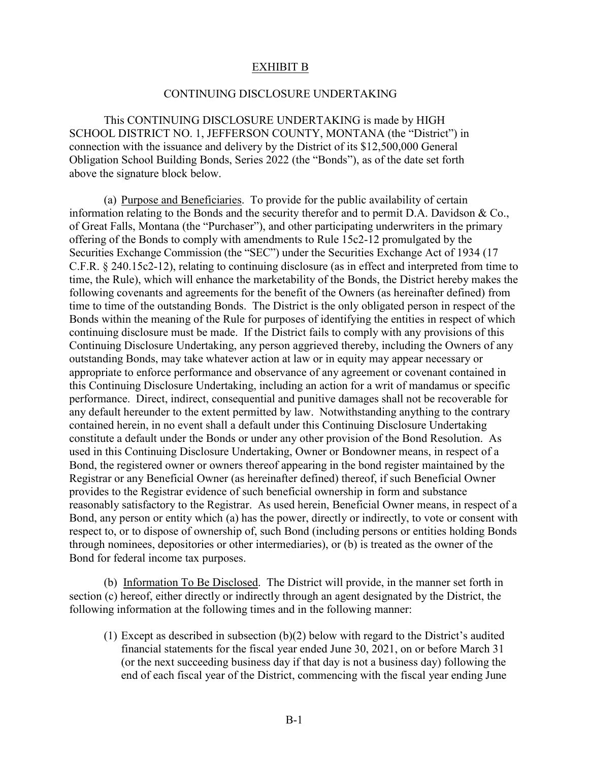### EXHIBIT B

#### CONTINUING DISCLOSURE UNDERTAKING

This CONTINUING DISCLOSURE UNDERTAKING is made by HIGH SCHOOL DISTRICT NO. 1, JEFFERSON COUNTY, MONTANA (the "District") in connection with the issuance and delivery by the District of its \$12,500,000 General Obligation School Building Bonds, Series 2022 (the "Bonds"), as of the date set forth above the signature block below.

(a) Purpose and Beneficiaries. To provide for the public availability of certain information relating to the Bonds and the security therefor and to permit D.A. Davidson & Co., of Great Falls, Montana (the "Purchaser"), and other participating underwriters in the primary offering of the Bonds to comply with amendments to Rule 15c2-12 promulgated by the Securities Exchange Commission (the "SEC") under the Securities Exchange Act of 1934 (17 C.F.R. § 240.15c2-12), relating to continuing disclosure (as in effect and interpreted from time to time, the Rule), which will enhance the marketability of the Bonds, the District hereby makes the following covenants and agreements for the benefit of the Owners (as hereinafter defined) from time to time of the outstanding Bonds. The District is the only obligated person in respect of the Bonds within the meaning of the Rule for purposes of identifying the entities in respect of which continuing disclosure must be made. If the District fails to comply with any provisions of this Continuing Disclosure Undertaking, any person aggrieved thereby, including the Owners of any outstanding Bonds, may take whatever action at law or in equity may appear necessary or appropriate to enforce performance and observance of any agreement or covenant contained in this Continuing Disclosure Undertaking, including an action for a writ of mandamus or specific performance. Direct, indirect, consequential and punitive damages shall not be recoverable for any default hereunder to the extent permitted by law. Notwithstanding anything to the contrary contained herein, in no event shall a default under this Continuing Disclosure Undertaking constitute a default under the Bonds or under any other provision of the Bond Resolution. As used in this Continuing Disclosure Undertaking, Owner or Bondowner means, in respect of a Bond, the registered owner or owners thereof appearing in the bond register maintained by the Registrar or any Beneficial Owner (as hereinafter defined) thereof, if such Beneficial Owner provides to the Registrar evidence of such beneficial ownership in form and substance reasonably satisfactory to the Registrar. As used herein, Beneficial Owner means, in respect of a Bond, any person or entity which (a) has the power, directly or indirectly, to vote or consent with respect to, or to dispose of ownership of, such Bond (including persons or entities holding Bonds through nominees, depositories or other intermediaries), or (b) is treated as the owner of the Bond for federal income tax purposes.

(b) Information To Be Disclosed. The District will provide, in the manner set forth in section (c) hereof, either directly or indirectly through an agent designated by the District, the following information at the following times and in the following manner:

(1) Except as described in subsection (b)(2) below with regard to the District's audited financial statements for the fiscal year ended June 30, 2021, on or before March 31 (or the next succeeding business day if that day is not a business day) following the end of each fiscal year of the District, commencing with the fiscal year ending June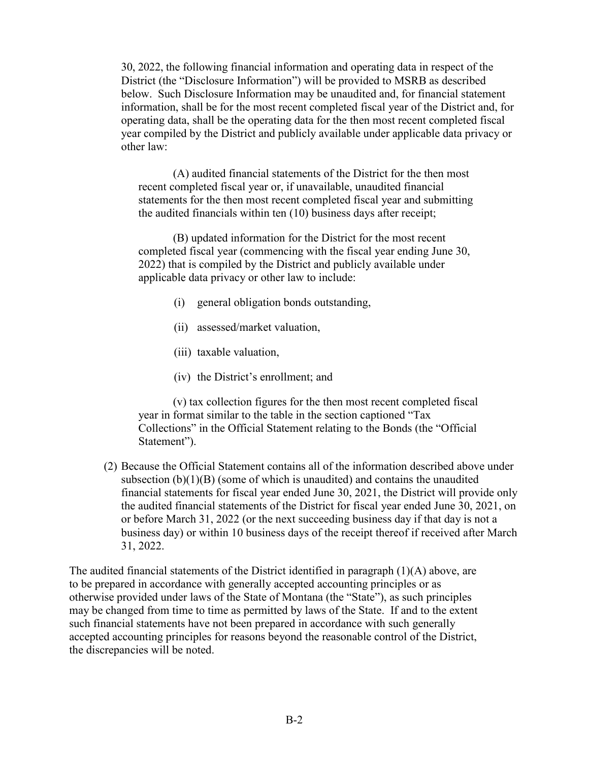30, 2022, the following financial information and operating data in respect of the District (the "Disclosure Information") will be provided to MSRB as described below. Such Disclosure Information may be unaudited and, for financial statement information, shall be for the most recent completed fiscal year of the District and, for operating data, shall be the operating data for the then most recent completed fiscal year compiled by the District and publicly available under applicable data privacy or other law:

(A) audited financial statements of the District for the then most recent completed fiscal year or, if unavailable, unaudited financial statements for the then most recent completed fiscal year and submitting the audited financials within ten (10) business days after receipt;

(B) updated information for the District for the most recent completed fiscal year (commencing with the fiscal year ending June 30, 2022) that is compiled by the District and publicly available under applicable data privacy or other law to include:

- (i) general obligation bonds outstanding,
- (ii) assessed/market valuation,
- (iii) taxable valuation,
- (iv) the District's enrollment; and

(v) tax collection figures for the then most recent completed fiscal year in format similar to the table in the section captioned "Tax Collections" in the Official Statement relating to the Bonds (the "Official Statement").

(2) Because the Official Statement contains all of the information described above under subsection  $(b)(1)(B)$  (some of which is unaudited) and contains the unaudited financial statements for fiscal year ended June 30, 2021, the District will provide only the audited financial statements of the District for fiscal year ended June 30, 2021, on or before March 31, 2022 (or the next succeeding business day if that day is not a business day) or within 10 business days of the receipt thereof if received after March 31, 2022.

The audited financial statements of the District identified in paragraph (1)(A) above, are to be prepared in accordance with generally accepted accounting principles or as otherwise provided under laws of the State of Montana (the "State"), as such principles may be changed from time to time as permitted by laws of the State. If and to the extent such financial statements have not been prepared in accordance with such generally accepted accounting principles for reasons beyond the reasonable control of the District, the discrepancies will be noted.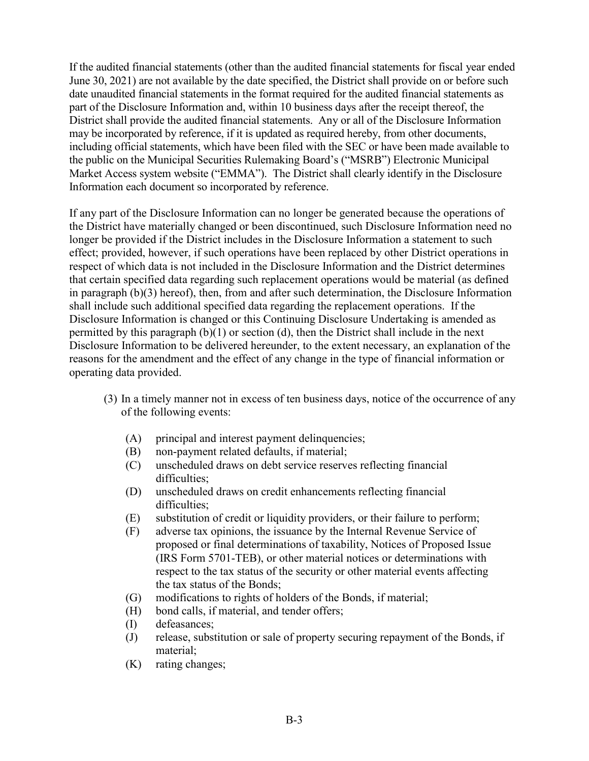If the audited financial statements (other than the audited financial statements for fiscal year ended June 30, 2021) are not available by the date specified, the District shall provide on or before such date unaudited financial statements in the format required for the audited financial statements as part of the Disclosure Information and, within 10 business days after the receipt thereof, the District shall provide the audited financial statements. Any or all of the Disclosure Information may be incorporated by reference, if it is updated as required hereby, from other documents, including official statements, which have been filed with the SEC or have been made available to the public on the Municipal Securities Rulemaking Board's ("MSRB") Electronic Municipal Market Access system website ("EMMA"). The District shall clearly identify in the Disclosure Information each document so incorporated by reference.

If any part of the Disclosure Information can no longer be generated because the operations of the District have materially changed or been discontinued, such Disclosure Information need no longer be provided if the District includes in the Disclosure Information a statement to such effect; provided, however, if such operations have been replaced by other District operations in respect of which data is not included in the Disclosure Information and the District determines that certain specified data regarding such replacement operations would be material (as defined in paragraph (b)(3) hereof), then, from and after such determination, the Disclosure Information shall include such additional specified data regarding the replacement operations. If the Disclosure Information is changed or this Continuing Disclosure Undertaking is amended as permitted by this paragraph (b)(1) or section (d), then the District shall include in the next Disclosure Information to be delivered hereunder, to the extent necessary, an explanation of the reasons for the amendment and the effect of any change in the type of financial information or operating data provided.

- (3) In a timely manner not in excess of ten business days, notice of the occurrence of any of the following events:
	- (A) principal and interest payment delinquencies;
	- (B) non-payment related defaults, if material;
	- (C) unscheduled draws on debt service reserves reflecting financial difficulties;
	- (D) unscheduled draws on credit enhancements reflecting financial difficulties:
	- (E) substitution of credit or liquidity providers, or their failure to perform;
	- (F) adverse tax opinions, the issuance by the Internal Revenue Service of proposed or final determinations of taxability, Notices of Proposed Issue (IRS Form 5701-TEB), or other material notices or determinations with respect to the tax status of the security or other material events affecting the tax status of the Bonds;
	- (G) modifications to rights of holders of the Bonds, if material;
	- (H) bond calls, if material, and tender offers;
	- (I) defeasances;
	- (J) release, substitution or sale of property securing repayment of the Bonds, if material;
	- (K) rating changes;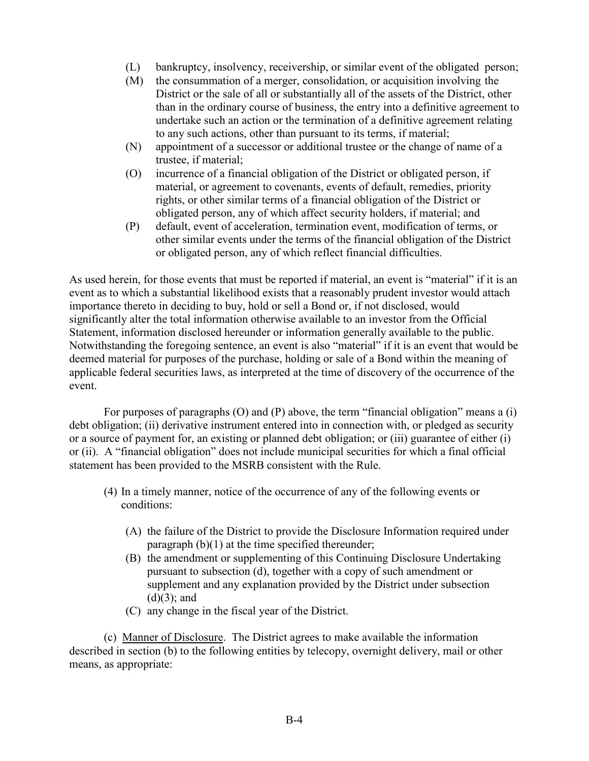- (L) bankruptcy, insolvency, receivership, or similar event of the obligated person;
- (M) the consummation of a merger, consolidation, or acquisition involving the District or the sale of all or substantially all of the assets of the District, other than in the ordinary course of business, the entry into a definitive agreement to undertake such an action or the termination of a definitive agreement relating to any such actions, other than pursuant to its terms, if material;
- (N) appointment of a successor or additional trustee or the change of name of a trustee, if material;
- (O) incurrence of a financial obligation of the District or obligated person, if material, or agreement to covenants, events of default, remedies, priority rights, or other similar terms of a financial obligation of the District or obligated person, any of which affect security holders, if material; and
- (P) default, event of acceleration, termination event, modification of terms, or other similar events under the terms of the financial obligation of the District or obligated person, any of which reflect financial difficulties.

As used herein, for those events that must be reported if material, an event is "material" if it is an event as to which a substantial likelihood exists that a reasonably prudent investor would attach importance thereto in deciding to buy, hold or sell a Bond or, if not disclosed, would significantly alter the total information otherwise available to an investor from the Official Statement, information disclosed hereunder or information generally available to the public. Notwithstanding the foregoing sentence, an event is also "material" if it is an event that would be deemed material for purposes of the purchase, holding or sale of a Bond within the meaning of applicable federal securities laws, as interpreted at the time of discovery of the occurrence of the event.

For purposes of paragraphs (O) and (P) above, the term "financial obligation" means a (i) debt obligation; (ii) derivative instrument entered into in connection with, or pledged as security or a source of payment for, an existing or planned debt obligation; or (iii) guarantee of either (i) or (ii). A "financial obligation" does not include municipal securities for which a final official statement has been provided to the MSRB consistent with the Rule.

- (4) In a timely manner, notice of the occurrence of any of the following events or conditions:
	- (A) the failure of the District to provide the Disclosure Information required under paragraph (b)(1) at the time specified thereunder;
	- (B) the amendment or supplementing of this Continuing Disclosure Undertaking pursuant to subsection (d), together with a copy of such amendment or supplement and any explanation provided by the District under subsection  $(d)(3)$ ; and
	- (C) any change in the fiscal year of the District.

(c) Manner of Disclosure. The District agrees to make available the information described in section (b) to the following entities by telecopy, overnight delivery, mail or other means, as appropriate: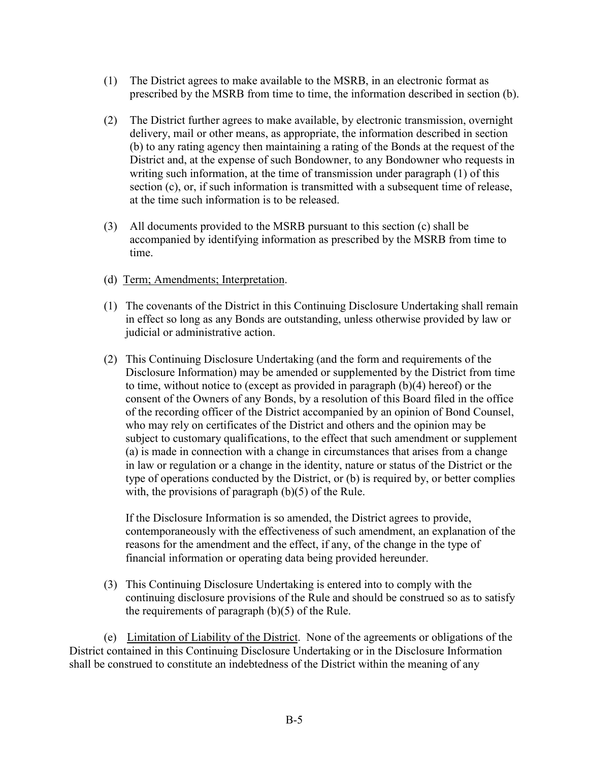- (1) The District agrees to make available to the MSRB, in an electronic format as prescribed by the MSRB from time to time, the information described in section (b).
- (2) The District further agrees to make available, by electronic transmission, overnight delivery, mail or other means, as appropriate, the information described in section (b) to any rating agency then maintaining a rating of the Bonds at the request of the District and, at the expense of such Bondowner, to any Bondowner who requests in writing such information, at the time of transmission under paragraph (1) of this section (c), or, if such information is transmitted with a subsequent time of release, at the time such information is to be released.
- (3) All documents provided to the MSRB pursuant to this section (c) shall be accompanied by identifying information as prescribed by the MSRB from time to time.
- (d) Term; Amendments; Interpretation.
- (1) The covenants of the District in this Continuing Disclosure Undertaking shall remain in effect so long as any Bonds are outstanding, unless otherwise provided by law or judicial or administrative action.
- (2) This Continuing Disclosure Undertaking (and the form and requirements of the Disclosure Information) may be amended or supplemented by the District from time to time, without notice to (except as provided in paragraph (b)(4) hereof) or the consent of the Owners of any Bonds, by a resolution of this Board filed in the office of the recording officer of the District accompanied by an opinion of Bond Counsel, who may rely on certificates of the District and others and the opinion may be subject to customary qualifications, to the effect that such amendment or supplement (a) is made in connection with a change in circumstances that arises from a change in law or regulation or a change in the identity, nature or status of the District or the type of operations conducted by the District, or (b) is required by, or better complies with, the provisions of paragraph (b)(5) of the Rule.

If the Disclosure Information is so amended, the District agrees to provide, contemporaneously with the effectiveness of such amendment, an explanation of the reasons for the amendment and the effect, if any, of the change in the type of financial information or operating data being provided hereunder.

(3) This Continuing Disclosure Undertaking is entered into to comply with the continuing disclosure provisions of the Rule and should be construed so as to satisfy the requirements of paragraph  $(b)(5)$  of the Rule.

(e) Limitation of Liability of the District. None of the agreements or obligations of the District contained in this Continuing Disclosure Undertaking or in the Disclosure Information shall be construed to constitute an indebtedness of the District within the meaning of any